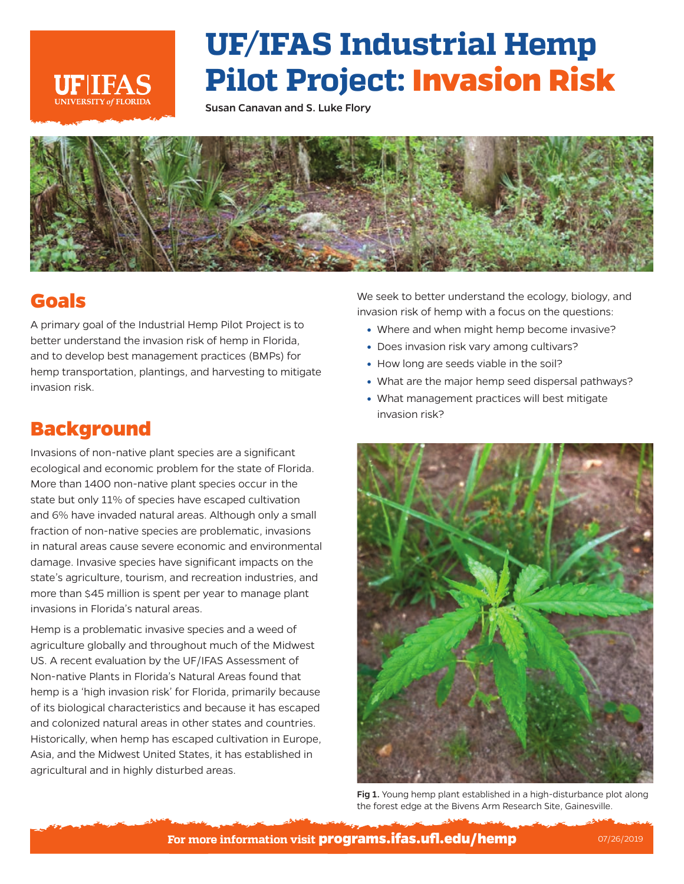

## **UF/IFAS Industrial Hemp Pilot Project: Invasion Risk**

Susan Canavan and S. Luke Flory



## **Goals**

A primary goal of the Industrial Hemp Pilot Project is to better understand the invasion risk of hemp in Florida, and to develop best management practices (BMPs) for hemp transportation, plantings, and harvesting to mitigate invasion risk.

## **Background**

Invasions of non-native plant species are a significant ecological and economic problem for the state of Florida. More than 1400 non-native plant species occur in the state but only 11% of species have escaped cultivation and 6% have invaded natural areas. Although only a small fraction of non-native species are problematic, invasions in natural areas cause severe economic and environmental damage. Invasive species have significant impacts on the state's agriculture, tourism, and recreation industries, and more than \$45 million is spent per year to manage plant invasions in Florida's natural areas.

Hemp is a problematic invasive species and a weed of agriculture globally and throughout much of the Midwest US. A recent evaluation by the UF/IFAS Assessment of Non-native Plants in Florida's Natural Areas found that hemp is a 'high invasion risk' for Florida, primarily because of its biological characteristics and because it has escaped and colonized natural areas in other states and countries. Historically, when hemp has escaped cultivation in Europe, Asia, and the Midwest United States, it has established in agricultural and in highly disturbed areas.

We seek to better understand the ecology, biology, and invasion risk of hemp with a focus on the questions:

- Where and when might hemp become invasive?
- Does invasion risk vary among cultivars?
- How long are seeds viable in the soil?
- What are the major hemp seed dispersal pathways?
- What management practices will best mitigate invasion risk?



Fig 1. Young hemp plant established in a high-disturbance plot along the forest edge at the Bivens Arm Research Site, Gainesville.